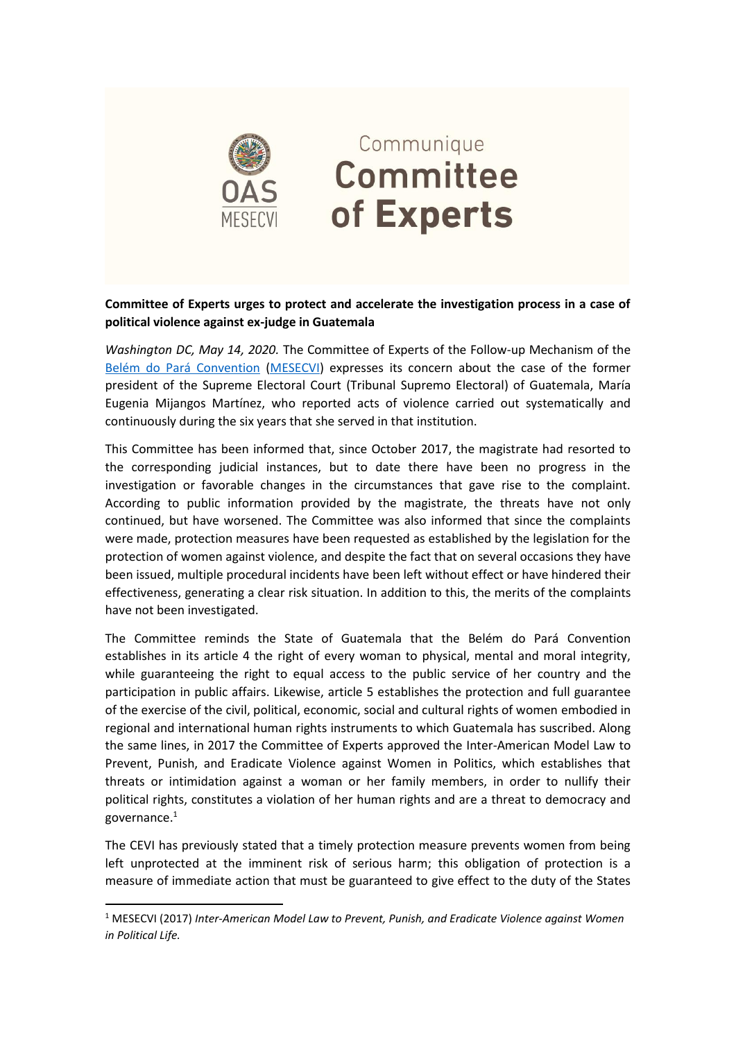

## Communique **Committee** of Experts

## **Committee of Experts urges to protect and accelerate the investigation process in a case of political violence against ex-judge in Guatemala**

*Washington DC, May 14, 2020.* The Committee of Experts of the Follow-up Mechanism of the [Belém do Pará Convention](http://www.oas.org/en/mesecvi/convention.asp) [\(MESECVI\)](http://www.oas.org/en/mesecvi/default.asp) expresses its concern about the case of the former president of the Supreme Electoral Court (Tribunal Supremo Electoral) of Guatemala, María Eugenia Mijangos Martínez, who reported acts of violence carried out systematically and continuously during the six years that she served in that institution.

This Committee has been informed that, since October 2017, the magistrate had resorted to the corresponding judicial instances, but to date there have been no progress in the investigation or favorable changes in the circumstances that gave rise to the complaint. According to public information provided by the magistrate, the threats have not only continued, but have worsened. The Committee was also informed that since the complaints were made, protection measures have been requested as established by the legislation for the protection of women against violence, and despite the fact that on several occasions they have been issued, multiple procedural incidents have been left without effect or have hindered their effectiveness, generating a clear risk situation. In addition to this, the merits of the complaints have not been investigated.

The Committee reminds the State of Guatemala that the Belém do Pará Convention establishes in its article 4 the right of every woman to physical, mental and moral integrity, while guaranteeing the right to equal access to the public service of her country and the participation in public affairs. Likewise, article 5 establishes the protection and full guarantee of the exercise of the civil, political, economic, social and cultural rights of women embodied in regional and international human rights instruments to which Guatemala has suscribed. Along the same lines, in 2017 the Committee of Experts approved the Inter-American Model Law to Prevent, Punish, and Eradicate Violence against Women in Politics, which establishes that threats or intimidation against a woman or her family members, in order to nullify their political rights, constitutes a violation of her human rights and are a threat to democracy and governance.<sup>1</sup>

The CEVI has previously stated that a timely protection measure prevents women from being left unprotected at the imminent risk of serious harm; this obligation of protection is a measure of immediate action that must be guaranteed to give effect to the duty of the States

<sup>1</sup> MESECVI (2017) *Inter-American Model Law to Prevent, Punish, and Eradicate Violence against Women in Political Life.*